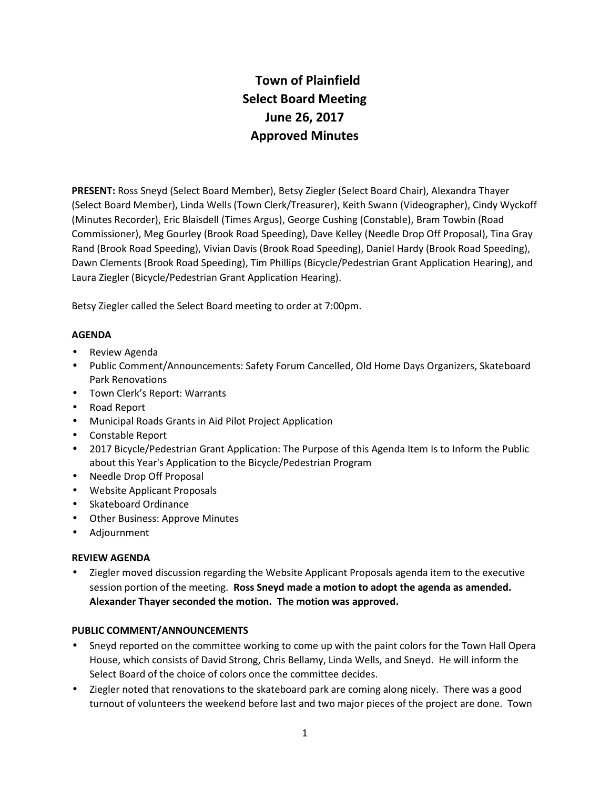# **Town of Plainfield Select Board Meeting June 26, 2017 Approved Minutes**

**PRESENT:** Ross Sneyd (Select Board Member), Betsy Ziegler (Select Board Chair), Alexandra Thayer (Select Board Member), Linda Wells (Town Clerk/Treasurer), Keith Swann (Videographer), Cindy Wyckoff (Minutes Recorder), Eric Blaisdell (Times Argus), George Cushing (Constable), Bram Towbin (Road Commissioner), Meg Gourley (Brook Road Speeding), Dave Kelley (Needle Drop Off Proposal), Tina Gray Rand (Brook Road Speeding), Vivian Davis (Brook Road Speeding), Daniel Hardy (Brook Road Speeding), Dawn Clements (Brook Road Speeding), Tim Phillips (Bicycle/Pedestrian Grant Application Hearing), and Laura Ziegler (Bicycle/Pedestrian Grant Application Hearing).

Betsy Ziegler called the Select Board meeting to order at 7:00pm.

# **AGENDA**

- Review Agenda
- Public Comment/Announcements: Safety Forum Cancelled, Old Home Days Organizers, Skateboard Park Renovations
- Town Clerk's Report: Warrants
- Road Report
- Municipal Roads Grants in Aid Pilot Project Application
- Constable Report
- 2017 Bicycle/Pedestrian Grant Application: The Purpose of this Agenda Item Is to Inform the Public about this Year's Application to the Bicycle/Pedestrian Program
- Needle Drop Off Proposal
- Website Applicant Proposals
- Skateboard Ordinance
- Other Business: Approve Minutes
- Adjournment

#### **REVIEW AGENDA**

 Ziegler moved discussion regarding the Website Applicant Proposals agenda item to the executive session portion of the meeting. **Ross Sneyd made a motion to adopt the agenda as amended. Alexander Thayer seconded the motion. The motion was approved.**

#### **PUBLIC COMMENT/ANNOUNCEMENTS**

- Sneyd reported on the committee working to come up with the paint colors for the Town Hall Opera House, which consists of David Strong, Chris Bellamy, Linda Wells, and Sneyd. He will inform the Select Board of the choice of colors once the committee decides.
- Ziegler noted that renovations to the skateboard park are coming along nicely. There was a good turnout of volunteers the weekend before last and two major pieces of the project are done. Town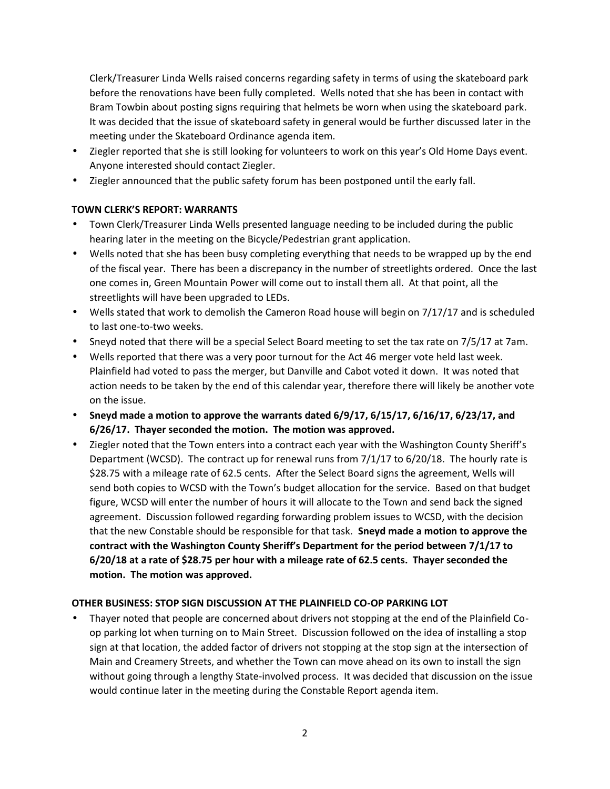Clerk/Treasurer Linda Wells raised concerns regarding safety in terms of using the skateboard park before the renovations have been fully completed. Wells noted that she has been in contact with Bram Towbin about posting signs requiring that helmets be worn when using the skateboard park. It was decided that the issue of skateboard safety in general would be further discussed later in the meeting under the Skateboard Ordinance agenda item.

- Ziegler reported that she is still looking for volunteers to work on this year's Old Home Days event. Anyone interested should contact Ziegler.
- Ziegler announced that the public safety forum has been postponed until the early fall.

# **TOWN CLERK'S REPORT: WARRANTS**

- Town Clerk/Treasurer Linda Wells presented language needing to be included during the public hearing later in the meeting on the Bicycle/Pedestrian grant application.
- Wells noted that she has been busy completing everything that needs to be wrapped up by the end of the fiscal year. There has been a discrepancy in the number of streetlights ordered. Once the last one comes in, Green Mountain Power will come out to install them all. At that point, all the streetlights will have been upgraded to LEDs.
- Wells stated that work to demolish the Cameron Road house will begin on 7/17/17 and is scheduled to last one-to-two weeks.
- Sneyd noted that there will be a special Select Board meeting to set the tax rate on 7/5/17 at 7am.
- Wells reported that there was a very poor turnout for the Act 46 merger vote held last week. Plainfield had voted to pass the merger, but Danville and Cabot voted it down. It was noted that action needs to be taken by the end of this calendar year, therefore there will likely be another vote on the issue.
- **Sneyd made a motion to approve the warrants dated 6/9/17, 6/15/17, 6/16/17, 6/23/17, and 6/26/17. Thayer seconded the motion. The motion was approved.**
- Ziegler noted that the Town enters into a contract each year with the Washington County Sheriff's Department (WCSD). The contract up for renewal runs from 7/1/17 to 6/20/18. The hourly rate is \$28.75 with a mileage rate of 62.5 cents. After the Select Board signs the agreement, Wells will send both copies to WCSD with the Town's budget allocation for the service. Based on that budget figure, WCSD will enter the number of hours it will allocate to the Town and send back the signed agreement. Discussion followed regarding forwarding problem issues to WCSD, with the decision that the new Constable should be responsible for that task. **Sneyd made a motion to approve the contract with the Washington County Sheriff's Department for the period between 7/1/17 to 6/20/18 at a rate of \$28.75 per hour with a mileage rate of 62.5 cents. Thayer seconded the motion. The motion was approved.**

# **OTHER BUSINESS: STOP SIGN DISCUSSION AT THE PLAINFIELD CO-OP PARKING LOT**

 Thayer noted that people are concerned about drivers not stopping at the end of the Plainfield Co op parking lot when turning on to Main Street. Discussion followed on the idea of installing a stop sign at that location, the added factor of drivers not stopping at the stop sign at the intersection of Main and Creamery Streets, and whether the Town can move ahead on its own to install the sign without going through a lengthy State-involved process. It was decided that discussion on the issue would continue later in the meeting during the Constable Report agenda item.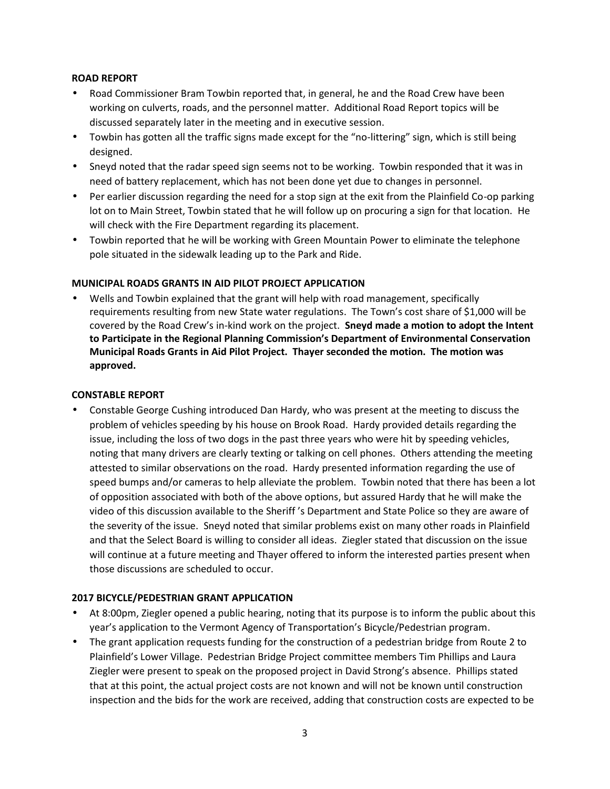## **ROAD REPORT**

- Road Commissioner Bram Towbin reported that, in general, he and the Road Crew have been working on culverts, roads, and the personnel matter. Additional Road Report topics will be discussed separately later in the meeting and in executive session.
- Towbin has gotten all the traffic signs made except for the "no-littering" sign, which is still being designed.
- Sneyd noted that the radar speed sign seems not to be working. Towbin responded that it was in need of battery replacement, which has not been done yet due to changes in personnel.
- Per earlier discussion regarding the need for a stop sign at the exit from the Plainfield Co-op parking lot on to Main Street, Towbin stated that he will follow up on procuring a sign for that location. He will check with the Fire Department regarding its placement.
- Towbin reported that he will be working with Green Mountain Power to eliminate the telephone pole situated in the sidewalk leading up to the Park and Ride.

# **MUNICIPAL ROADS GRANTS IN AID PILOT PROJECT APPLICATION**

 Wells and Towbin explained that the grant will help with road management, specifically requirements resulting from new State water regulations. The Town's cost share of \$1,000 will be covered by the Road Crew's in-kind work on the project. **Sneyd made a motion to adopt the Intent to Participate in the Regional Planning Commission's Department of Environmental Conservation Municipal Roads Grants in Aid Pilot Project. Thayer seconded the motion. The motion was approved.**

#### **CONSTABLE REPORT**

 Constable George Cushing introduced Dan Hardy, who was present at the meeting to discuss the problem of vehicles speeding by his house on Brook Road. Hardy provided details regarding the issue, including the loss of two dogs in the past three years who were hit by speeding vehicles, noting that many drivers are clearly texting or talking on cell phones. Others attending the meeting attested to similar observations on the road. Hardy presented information regarding the use of speed bumps and/or cameras to help alleviate the problem. Towbin noted that there has been a lot of opposition associated with both of the above options, but assured Hardy that he will make the video of this discussion available to the Sheriff 's Department and State Police so they are aware of the severity of the issue. Sneyd noted that similar problems exist on many other roads in Plainfield and that the Select Board is willing to consider all ideas. Ziegler stated that discussion on the issue will continue at a future meeting and Thayer offered to inform the interested parties present when those discussions are scheduled to occur.

#### **2017 BICYCLE/PEDESTRIAN GRANT APPLICATION**

- At 8:00pm, Ziegler opened a public hearing, noting that its purpose is to inform the public about this year's application to the Vermont Agency of Transportation's Bicycle/Pedestrian program.
- The grant application requests funding for the construction of a pedestrian bridge from Route 2 to Plainfield's Lower Village. Pedestrian Bridge Project committee members Tim Phillips and Laura Ziegler were present to speak on the proposed project in David Strong's absence. Phillips stated that at this point, the actual project costs are not known and will not be known until construction inspection and the bids for the work are received, adding that construction costs are expected to be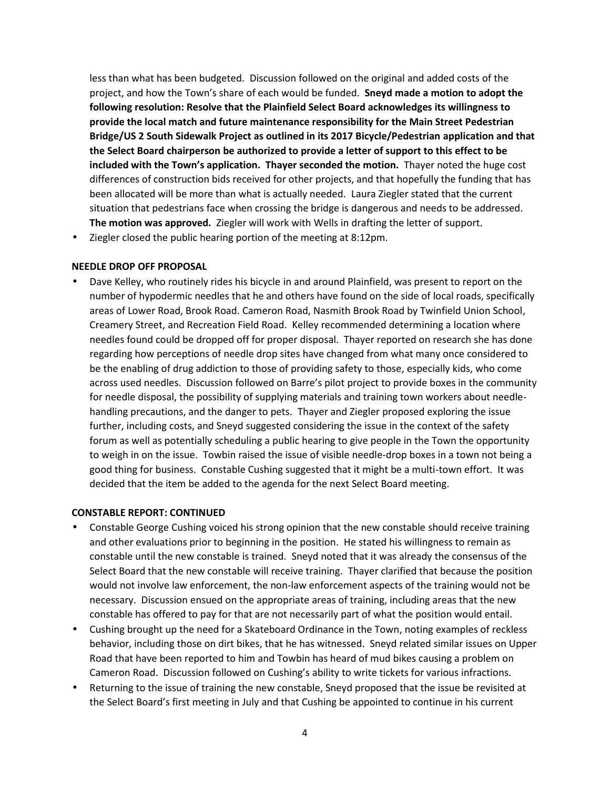less than what has been budgeted. Discussion followed on the original and added costs of the project, and how the Town's share of each would be funded. **Sneyd made a motion to adopt the following resolution: Resolve that the Plainfield Select Board acknowledges its willingness to provide the local match and future maintenance responsibility for the Main Street Pedestrian Bridge/US 2 South Sidewalk Project as outlined in its 2017 Bicycle/Pedestrian application and that the Select Board chairperson be authorized to provide a letter of support to this effect to be included with the Town's application. Thayer seconded the motion.** Thayer noted the huge cost differences of construction bids received for other projects, and that hopefully the funding that has been allocated will be more than what is actually needed. Laura Ziegler stated that the current situation that pedestrians face when crossing the bridge is dangerous and needs to be addressed. **The motion was approved.** Ziegler will work with Wells in drafting the letter of support.

Ziegler closed the public hearing portion of the meeting at 8:12pm.

#### **NEEDLE DROP OFF PROPOSAL**

 Dave Kelley, who routinely rides his bicycle in and around Plainfield, was present to report on the number of hypodermic needles that he and others have found on the side of local roads, specifically areas of Lower Road, Brook Road. Cameron Road, Nasmith Brook Road by Twinfield Union School, Creamery Street, and Recreation Field Road. Kelley recommended determining a location where needles found could be dropped off for proper disposal. Thayer reported on research she has done regarding how perceptions of needle drop sites have changed from what many once considered to be the enabling of drug addiction to those of providing safety to those, especially kids, who come across used needles. Discussion followed on Barre's pilot project to provide boxes in the community for needle disposal, the possibility of supplying materials and training town workers about needle handling precautions, and the danger to pets. Thayer and Ziegler proposed exploring the issue further, including costs, and Sneyd suggested considering the issue in the context of the safety forum as well as potentially scheduling a public hearing to give people in the Town the opportunity to weigh in on the issue. Towbin raised the issue of visible needle-drop boxes in a town not being a good thing for business. Constable Cushing suggested that it might be a multi-town effort. It was decided that the item be added to the agenda for the next Select Board meeting.

#### **CONSTABLE REPORT: CONTINUED**

- Constable George Cushing voiced his strong opinion that the new constable should receive training and other evaluations prior to beginning in the position. He stated his willingness to remain as constable until the new constable is trained. Sneyd noted that it was already the consensus of the Select Board that the new constable will receive training. Thayer clarified that because the position would not involve law enforcement, the non-law enforcement aspects of the training would not be necessary. Discussion ensued on the appropriate areas of training, including areas that the new constable has offered to pay for that are not necessarily part of what the position would entail.
- Cushing brought up the need for a Skateboard Ordinance in the Town, noting examples of reckless behavior, including those on dirt bikes, that he has witnessed. Sneyd related similar issues on Upper Road that have been reported to him and Towbin has heard of mud bikes causing a problem on Cameron Road. Discussion followed on Cushing's ability to write tickets for various infractions.
- Returning to the issue of training the new constable, Sneyd proposed that the issue be revisited at the Select Board's first meeting in July and that Cushing be appointed to continue in his current